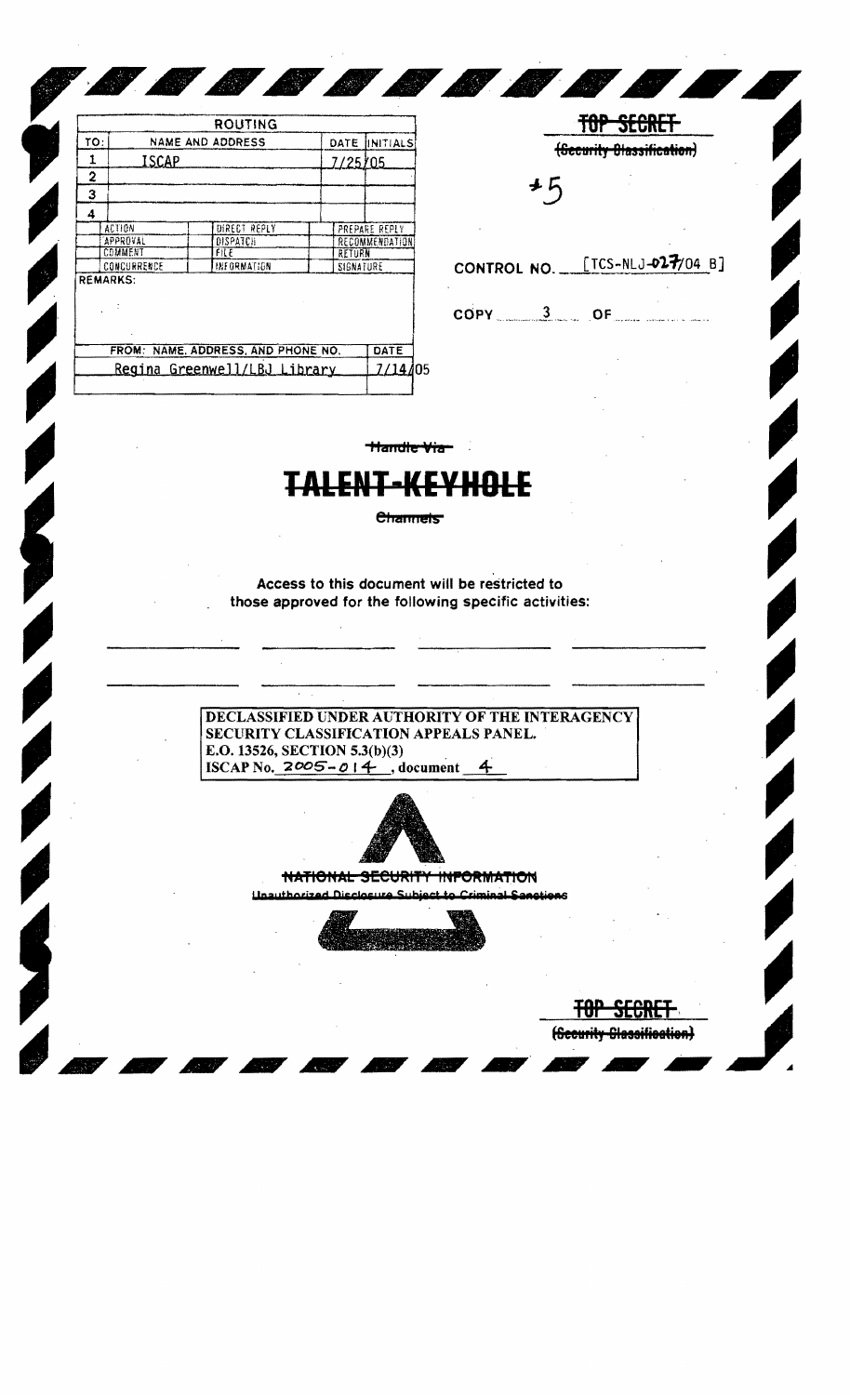|     |                 | <b>ROUTING</b>                      |                |                |  |  |  |
|-----|-----------------|-------------------------------------|----------------|----------------|--|--|--|
| TO: |                 | <b>NAME AND ADDRESS</b>             |                |                |  |  |  |
|     | ISCAP           |                                     | <u>7/25/05</u> |                |  |  |  |
| 2   |                 |                                     |                |                |  |  |  |
| 3   |                 |                                     |                |                |  |  |  |
| 4   |                 |                                     |                |                |  |  |  |
|     | <b>ACTION</b>   | DIRECT REPLY                        |                | PREPARE REPLY  |  |  |  |
|     | APPROVAL        | DISPATCH                            |                | RECOMMENDATION |  |  |  |
|     | CDMMENT         | FILE                                | RETURN         |                |  |  |  |
|     | CONCURRENCE     | <b>INFORMATION</b>                  | SIGNATURE      |                |  |  |  |
|     | <b>REMARKS:</b> |                                     |                |                |  |  |  |
|     |                 | FROM: NAME, ADDRESS, AND PHONE NO.  |                | DATE           |  |  |  |
|     |                 | <u>Regina Greenwell/LBJ Library</u> |                |                |  |  |  |

<del>TOP SECRET</del> (Security Blassification)

ナラ

CONTROL NO. [TCS-NLJ-027/04 B]

╈₩

(Security Classification)

 $\overline{COPY}$  3 of  $\overline{O}$ 

**Handle Via** 

100000000

## <del>ENT-KEYHOLE</del>

**Channels** 

Access to this document will be restricted to those approved for the following specific activities:

DECLASSIFIED UNDER AUTHORITY OF THE INTERAGENCY SECURITY CLASSIFICATION APPEALS PANEL. E.O. 13526, SECTION 5.3(b)(3) ISCAP No.  $2005 - 014$ , document 4



**NATIONAL SECURITY INFORMATION** 

Inauthorized Disclosure Subject to Criminal Sengtions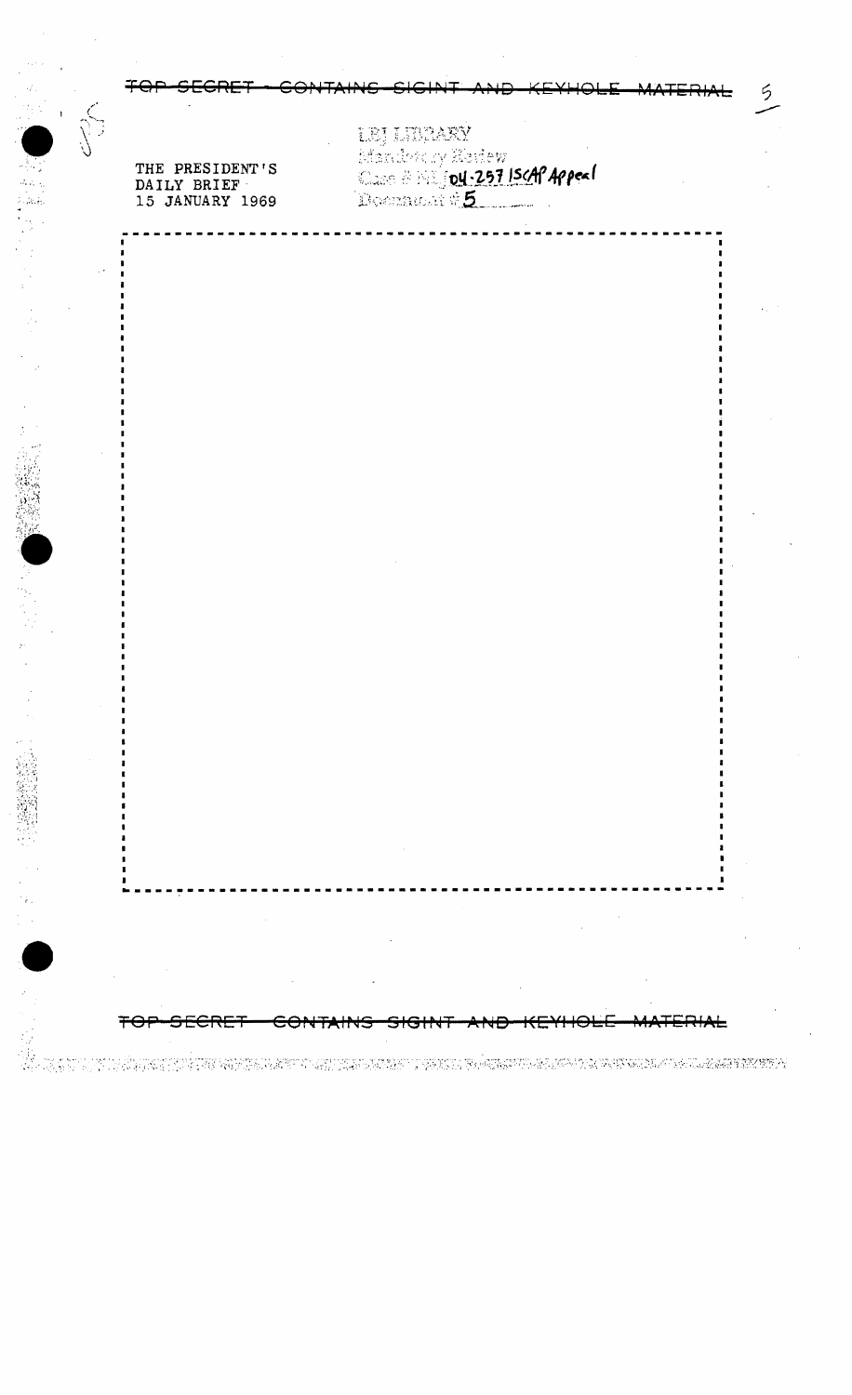|        |                                                   | $\sim$                                                                                 |  |  |  |  |  |  |  |  |
|--------|---------------------------------------------------|----------------------------------------------------------------------------------------|--|--|--|--|--|--|--|--|
|        | THE PRESIDENT'S<br>DAILY BRIEF<br>15 JANUARY 1969 | LEJ LIBRAEY<br>Mandonery Radew<br>Case & Mill <b>oy 257 ISCAP Appeal</b><br>Boomach #5 |  |  |  |  |  |  |  |  |
|        |                                                   |                                                                                        |  |  |  |  |  |  |  |  |
|        |                                                   |                                                                                        |  |  |  |  |  |  |  |  |
|        |                                                   |                                                                                        |  |  |  |  |  |  |  |  |
|        |                                                   |                                                                                        |  |  |  |  |  |  |  |  |
|        |                                                   |                                                                                        |  |  |  |  |  |  |  |  |
|        |                                                   |                                                                                        |  |  |  |  |  |  |  |  |
|        |                                                   |                                                                                        |  |  |  |  |  |  |  |  |
|        |                                                   |                                                                                        |  |  |  |  |  |  |  |  |
|        |                                                   |                                                                                        |  |  |  |  |  |  |  |  |
|        |                                                   |                                                                                        |  |  |  |  |  |  |  |  |
|        |                                                   |                                                                                        |  |  |  |  |  |  |  |  |
|        |                                                   |                                                                                        |  |  |  |  |  |  |  |  |
| 一、心理病理 |                                                   |                                                                                        |  |  |  |  |  |  |  |  |

 $\begin{array}{c} \mathcal{L} \\ \mathcal{L} \\ \mathcal{L} \end{array}$ 

 $\blacksquare$  $\ddot{\phantom{a}}$  $\blacksquare$  $\pmb{\mathsf{s}}$ 

.<br>14 R. M. M. M. Martin (1947) yn yn Rhawd yr Mae Awder i ysael as Agnawr ac aw thawwar an o than 2008 yn the Sa<br>19 R. M. M. Martin (1947)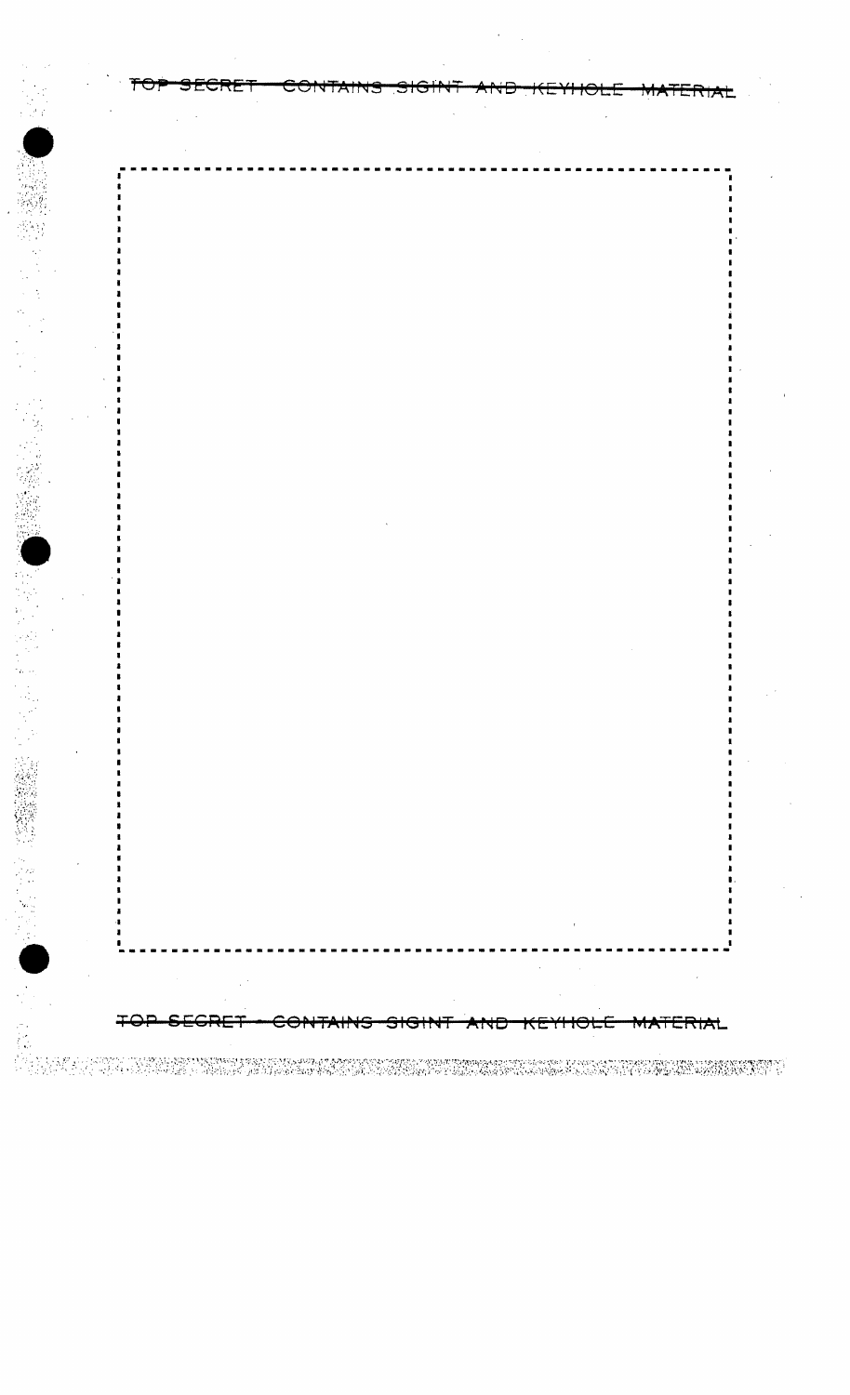|        | ◡                             |                            |               |                 |                                     |                          |  |
|--------|-------------------------------|----------------------------|---------------|-----------------|-------------------------------------|--------------------------|--|
|        |                               | ᡂ<br><u>stativa</u>        | <u>, סוסה</u> | AND .           | THE THUL                            | <b>WATERIAL</b>          |  |
|        |                               |                            |               |                 |                                     |                          |  |
|        |                               |                            |               |                 |                                     |                          |  |
|        |                               |                            |               |                 |                                     |                          |  |
|        |                               |                            |               |                 |                                     |                          |  |
|        |                               |                            |               |                 |                                     |                          |  |
|        |                               |                            |               |                 |                                     |                          |  |
|        |                               |                            |               |                 |                                     |                          |  |
|        |                               |                            |               |                 |                                     |                          |  |
|        |                               |                            |               |                 |                                     |                          |  |
|        |                               |                            |               |                 |                                     |                          |  |
|        |                               |                            |               |                 |                                     |                          |  |
|        |                               |                            |               |                 |                                     |                          |  |
|        |                               |                            |               |                 |                                     |                          |  |
|        |                               |                            |               |                 |                                     |                          |  |
|        |                               |                            |               |                 |                                     |                          |  |
|        |                               |                            |               |                 |                                     |                          |  |
|        |                               |                            |               |                 |                                     |                          |  |
|        |                               |                            |               |                 |                                     |                          |  |
|        |                               |                            |               |                 |                                     |                          |  |
|        |                               |                            |               |                 |                                     |                          |  |
|        |                               |                            |               |                 |                                     |                          |  |
|        |                               |                            |               |                 |                                     |                          |  |
|        |                               |                            |               |                 |                                     |                          |  |
|        |                               |                            |               |                 |                                     |                          |  |
|        |                               |                            |               |                 |                                     |                          |  |
|        |                               |                            |               |                 |                                     |                          |  |
|        | ----------------------        |                            |               |                 | $\sim 1000$                         |                          |  |
| $\sim$ | $\sim$ $\sim$<br>$\chi^{(2)}$ |                            |               | <b>Contract</b> | and the state                       | $\overline{\phantom{a}}$ |  |
|        | $\sim$                        |                            |               | $\alpha$        | $\mathbf{x}$                        |                          |  |
|        | <b>TOP</b>                    | SEGRET CONTAINS SIGINT AND |               |                 | KEYHOLE MATERIAL<br>$\sim 10^{-11}$ |                          |  |

 $\sim 10^7$ 

 $\overline{a}$